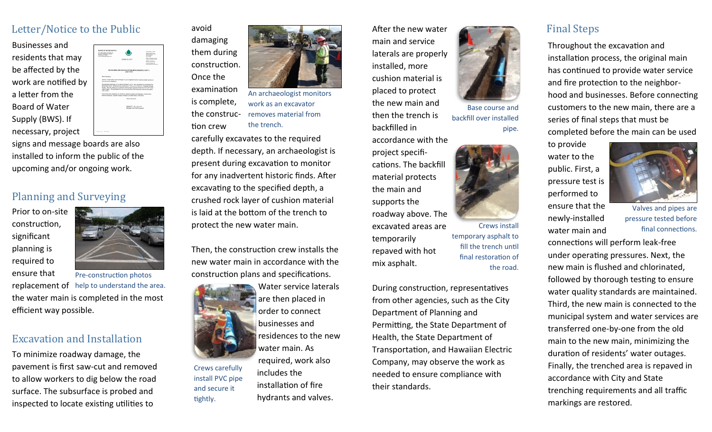## Letter/Notice to the Public

Businesses and residents that may be affected by the work are notified by a letter from the Board of Water Supply (BWS). If necessary, project



signs and message boards are also installed to inform the public of the upcoming and/or ongoing work.

## Planning and Surveying

Prior to on-site construction, significant planning is required to



ensure that replacement of help to understand the area. the water main is completed in the most efficient way possible. Pre-construction photos

### Excavation and Installation

To minimize roadway damage, the pavement is first saw-cut and removed to allow workers to dig below the road surface. The subsurface is probed and inspected to locate existing utilities to

avoid damaging them during construction. Once the examination

is complete, the construc- removes material from tion crew An archaeologist monitors work as an excavator the trench.

carefully excavates to the required depth. If necessary, an archaeologist is present during excavation to monitor for any inadvertent historic finds. After excavating to the specified depth, a crushed rock layer of cushion material is laid at the bottom of the trench to protect the new water main.

Then, the construction crew installs the new water main in accordance with the construction plans and specifications.



Crews carefully install PVC pipe and secure it tightly.

Water service laterals are then placed in order to connect businesses and residences to the new water main. As required, work also includes the installation of fire hydrants and valves.

After the new water main and service laterals are properly installed, more cushion material is placed to protect the new main and then the trench is backfilled in

accordance with the project specifications. The backfill material protects the main and supports the roadway above. The excavated areas are temporarily repaved with hot mix asphalt.

During construction, representatives from other agencies, such as the City Department of Planning and Permitting, the State Department of Health, the State Department of Transportation, and Hawaiian Electric Company, may observe the work as needed to ensure compliance with their standards.



Base course and backfill over installed pipe.



Crews install temporary asphalt to fill the trench until final restoration of the road.

# Final Steps

Throughout the excavation and installation process, the original main has continued to provide water service and fire protection to the neighborhood and businesses. Before connecting customers to the new main, there are a series of final steps that must be completed before the main can be used

to provide water to the public. First, a pressure test is performed to ensure that the newly-installed

water main and



Valves and pipes are pressure tested before final connections.

connections will perform leak-free under operating pressures. Next, the new main is flushed and chlorinated, followed by thorough testing to ensure water quality standards are maintained. Third, the new main is connected to the municipal system and water services are transferred one-by-one from the old main to the new main, minimizing the duration of residents' water outages. Finally, the trenched area is repaved in accordance with City and State trenching requirements and all traffic markings are restored.